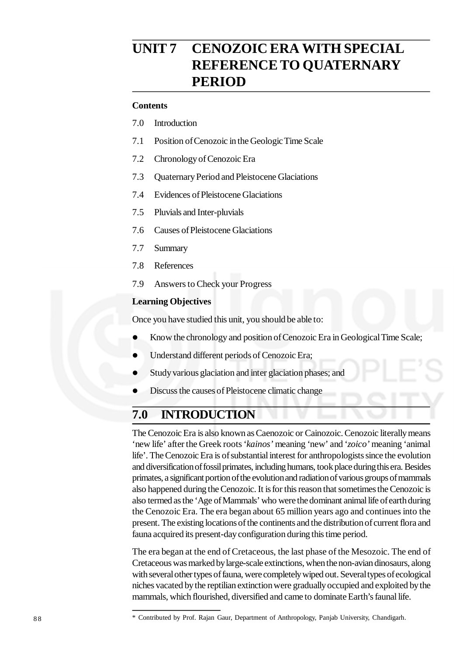# **UNIT 7 CENOZOIC ERA WITH SPECIAL REFERENCE TO QUATERNARY PERIOD**

## **Contents**

- 7.0 Introduction
- 7.1 Position of Cenozoic in the Geologic Time Scale
- 7.2 Chronology of Cenozoic Era
- 7.3 Quaternary Period and Pleistocene Glaciations
- 7.4 Evidences of Pleistocene Glaciations
- 7.5 Pluvials and Inter-pluvials
- 7.6 Causes of Pleistocene Glaciations
- 7.7 Summary
- 7.8 References
- 7.9 Answers to Check your Progress

## **Learning Objectives**

Once you have studied this unit, you should be able to:

- Know the chronology and position of Cenozoic Era in Geological Time Scale;
- Understand different periods of Cenozoic Era;
- Study various glaciation and inter glaciation phases; and
- Discuss the causes of Pleistocene climatic change

## **7.0 INTRODUCTION**

The Cenozoic Era is also known as Caenozoic or Cainozoic. Cenozoic literally means 'new life' after the Greek roots '*kainos'* meaning 'new' and '*zoico'* meaning 'animal life'. The Cenozoic Era is of substantial interest for anthropologists since the evolution and diversification of fossil primates, including humans, took place during this era. Besides primates, a significant portion of the evolution and radiation of various groups of mammals also happened during the Cenozoic. It is for this reason that sometimes the Cenozoic is also termed as the 'Age of Mammals' who were the dominant animal life of earth during the Cenozoic Era. The era began about 65 million years ago and continues into the present. The existing locations of the continents and the distribution of current flora and fauna acquired its present-day configuration during this time period.

The era began at the end of Cretaceous, the last phase of the Mesozoic. The end of Cretaceous was marked by large-scale extinctions, when the non-avian dinosaurs, along with several other types of fauna, were completely wiped out. Several types of ecological niches vacated by the reptilian extinction were gradually occupied and exploited by the mammals, which flourished, diversified and came to dominate Earth's faunal life.

<sup>8 8</sup> \* Contributed by Prof. Rajan Gaur, Department of Anthropology, Panjab University, Chandigarh.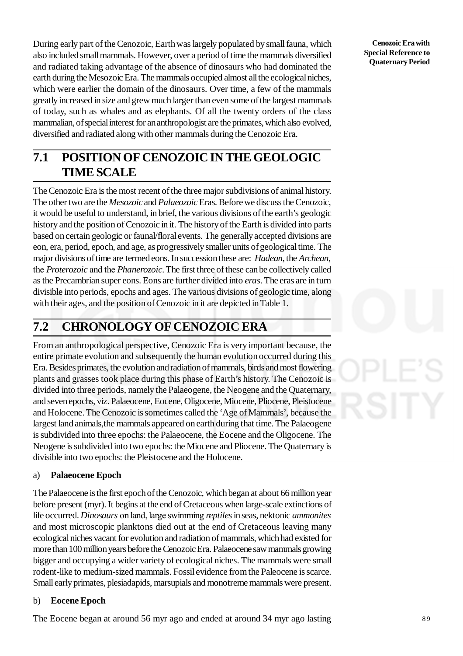During early part of the Cenozoic, Earth was largely populated by small fauna, which also included small mammals. However, over a period of time the mammals diversified and radiated taking advantage of the absence of dinosaurs who had dominated the earth during the Mesozoic Era. The mammals occupied almost all the ecological niches, which were earlier the domain of the dinosaurs. Over time, a few of the mammals greatly increased in size and grew much larger than even some of the largest mammals of today, such as whales and as elephants. Of all the twenty orders of the class mammalian, of special interest for an anthropologist are the primates, which also evolved, diversified and radiated along with other mammals during the Cenozoic Era.

# **7.1 POSITION OF CENOZOIC IN THE GEOLOGIC TIME SCALE**

The Cenozoic Era is the most recent of the three major subdivisions of animal history. The other two are the *Mesozoic* and *Palaeozoic* Eras. Before we discuss the Cenozoic, it would be useful to understand, in brief, the various divisions of the earth's geologic history and the position of Cenozoic in it. The history of the Earth is divided into parts based on certain geologic or faunal/floral events. The generally accepted divisions are eon, era, period, epoch, and age, as progressively smaller units of geological time. The major divisions of time are termed eons. In succession these are: *Hadean*, the *Archean*, the *Proterozoic* and the *Phanerozoic*. The first three of these can be collectively called as the Precambrian super eons. Eons are further divided into *eras*. The eras are in turn divisible into periods, epochs and ages. The various divisions of geologic time, along with their ages, and the position of Cenozoic in it are depicted in Table 1.

# **7.2 CHRONOLOGY OF CENOZOIC ERA**

From an anthropological perspective, Cenozoic Era is very important because, the entire primate evolution and subsequently the human evolution occurred during this Era. Besides primates, the evolution and radiation of mammals, birds and most flowering plants and grasses took place during this phase of Earth's history. The Cenozoic is divided into three periods, namely the Palaeogene, the Neogene and the Quaternary, and seven epochs, viz. Palaeocene, Eocene, Oligocene, Miocene, Pliocene, Pleistocene and Holocene. The Cenozoic is sometimes called the 'Age of Mammals', because the largest land animals,the mammals appeared on earth during that time. The Palaeogene is subdivided into three epochs: the Palaeocene, the Eocene and the Oligocene. The Neogene is subdivided into two epochs: the Miocene and Pliocene. The Quaternary is divisible into two epochs: the Pleistocene and the Holocene.

## a) **Palaeocene Epoch**

The Palaeocene is the first epoch of the Cenozoic, which began at about 66 million year before present (myr). It begins at the end of Cretaceous when large-scale extinctions of life occurred. *Dinosaurs* on land, large swimming *reptiles* in seas, nektonic *ammonites* and most microscopic planktons died out at the end of Cretaceous leaving many ecological niches vacant for evolution and radiation of mammals, which had existed for more than 100 million years before the Cenozoic Era. Palaeocene saw mammals growing bigger and occupying a wider variety of ecological niches. The mammals were small rodent-like to medium-sized mammals. Fossil evidence from the Paleocene is scarce. Small early primates, plesiadapids, marsupials and monotreme mammals were present.

## b) **Eocene Epoch**

The Eocene began at around 56 myr ago and ended at around 34 myr ago lasting 8 9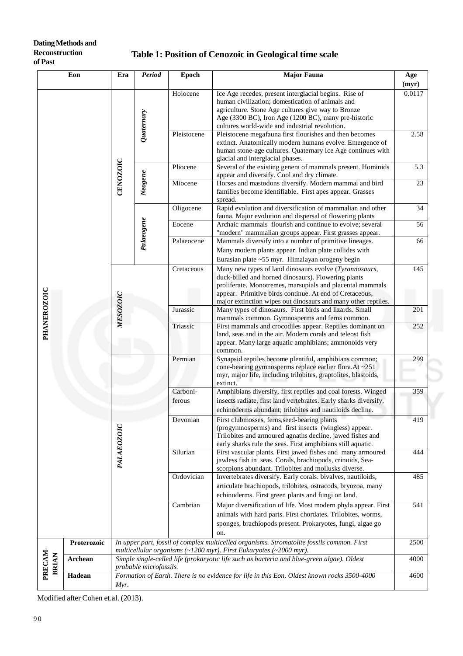### **Dating Methods and Reconstruction of Past**

## **Table 1: Position of Cenozoic in Geological time scale**

| Eon                     |                                                                                                                                         | Period<br>Era                                                                                                                                                    |            | <b>Epoch</b> | <b>Major Fauna</b>                                                                                                                                                                                                                                                                                     | Age<br>(myr) |
|-------------------------|-----------------------------------------------------------------------------------------------------------------------------------------|------------------------------------------------------------------------------------------------------------------------------------------------------------------|------------|--------------|--------------------------------------------------------------------------------------------------------------------------------------------------------------------------------------------------------------------------------------------------------------------------------------------------------|--------------|
|                         |                                                                                                                                         | CENOZOIC                                                                                                                                                         | Quaternary | Holocene     | Ice Age recedes, present interglacial begins. Rise of<br>human civilization; domestication of animals and<br>agriculture. Stone Age cultures give way to Bronze<br>Age (3300 BC), Iron Age (1200 BC), many pre-historic<br>cultures world-wide and industrial revolution.                              | 0.0117       |
|                         |                                                                                                                                         |                                                                                                                                                                  |            | Pleistocene  | Pleistocene megafauna first flourishes and then becomes<br>extinct. Anatomically modern humans evolve. Emergence of<br>human stone-age cultures. Quaternary Ice Age continues with<br>glacial and interglacial phases.                                                                                 | 2.58         |
|                         |                                                                                                                                         |                                                                                                                                                                  | Neogene    | Pliocene     | Several of the existing genera of mammals present. Hominids<br>appear and diversify. Cool and dry climate.                                                                                                                                                                                             | 5.3          |
|                         |                                                                                                                                         |                                                                                                                                                                  |            | Miocene      | Horses and mastodons diversify. Modern mammal and bird<br>families become identifiable. First apes appear. Grasses<br>spread.                                                                                                                                                                          | 23           |
|                         |                                                                                                                                         |                                                                                                                                                                  | Palaeogene | Oligocene    | Rapid evolution and diversification of mammalian and other<br>fauna. Major evolution and dispersal of flowering plants                                                                                                                                                                                 | 34           |
|                         |                                                                                                                                         |                                                                                                                                                                  |            | Eocene       | Archaic mammals flourish and continue to evolve; several<br>"modern" mammalian groups appear. First grasses appear.                                                                                                                                                                                    | 56           |
|                         |                                                                                                                                         |                                                                                                                                                                  |            | Palaeocene   | Mammals diversify into a number of primitive lineages.<br>Many modern plants appear. Indian plate collides with<br>Eurasian plate ~55 myr. Himalayan orogeny begin                                                                                                                                     | 66           |
|                         |                                                                                                                                         | <b>MESOZOIC</b>                                                                                                                                                  |            | Cretaceous   | Many new types of land dinosaurs evolve (Tyrannosaurs,<br>duck-billed and horned dinosaurs). Flowering plants<br>proliferate. Monotremes, marsupials and placental mammals<br>appear. Primitive birds continue. At end of Cretaceous,<br>major extinction wipes out dinosaurs and many other reptiles. | 145          |
|                         |                                                                                                                                         |                                                                                                                                                                  |            | Jurassic     | Many types of dinosaurs. First birds and lizards. Small<br>mammals common. Gymnosperms and ferns common.                                                                                                                                                                                               |              |
| PHANEROZOIC             |                                                                                                                                         |                                                                                                                                                                  |            | Triassic     | First mammals and crocodiles appear. Reptiles dominant on<br>land, seas and in the air. Modern corals and teleost fish<br>appear. Many large aquatic amphibians; ammonoids very<br>common.                                                                                                             | 252          |
|                         |                                                                                                                                         | PALAEOZOIC                                                                                                                                                       |            | Permian      | Synapsid reptiles become plentiful, amphibians common;<br>cone-bearing gymnosperms replace earlier flora. At ~251<br>myr, major life, including trilobites, graptolites, blastoids,<br>extinct.                                                                                                        |              |
|                         |                                                                                                                                         |                                                                                                                                                                  |            | Carboni-     | Amphibians diversify, first reptiles and coal forests. Winged                                                                                                                                                                                                                                          | 359          |
|                         |                                                                                                                                         |                                                                                                                                                                  |            | ferous       | insects radiate, first land vertebrates. Early sharks diversify,<br>echinoderms abundant; trilobites and nautiloids decline.                                                                                                                                                                           |              |
|                         |                                                                                                                                         |                                                                                                                                                                  |            | Devonian     | First clubmosses, ferns, seed-bearing plants<br>(progymnosperms) and first insects (wingless) appear.<br>Trilobites and armoured agnaths decline, jawed fishes and<br>early sharks rule the seas. First amphibians still aquatic.                                                                      | 419          |
|                         |                                                                                                                                         |                                                                                                                                                                  |            | Silurian     | First vascular plants. First jawed fishes and many armoured<br>jawless fish in seas. Corals, brachiopods, crinoids, Sea-<br>scorpions abundant. Trilobites and mollusks diverse.                                                                                                                       |              |
|                         |                                                                                                                                         |                                                                                                                                                                  |            | Ordovician   | Invertebrates diversify. Early corals. bivalves, nautiloids,<br>articulate brachiopods, trilobites, ostracods, bryozoa, many<br>echinoderms. First green plants and fungi on land.                                                                                                                     | 485          |
|                         |                                                                                                                                         |                                                                                                                                                                  |            | Cambrian     | Major diversification of life. Most modern phyla appear. First<br>animals with hard parts. First chordates. Trilobites, worms,<br>sponges, brachiopods present. Prokaryotes, fungi, algae go<br>on.                                                                                                    |              |
|                         | Proterozoic                                                                                                                             |                                                                                                                                                                  |            |              | In upper part, fossil of complex multicelled organisms. Stromatolite fossils common. First                                                                                                                                                                                                             | 2500         |
| PRECAM-<br><b>BRIAN</b> | Archean                                                                                                                                 | multicellular organisms (~1200 myr). First Eukaryotes (~2000 myr).<br>Simple single-celled life (prokaryotic life such as bacteria and blue-green algae). Oldest |            |              |                                                                                                                                                                                                                                                                                                        |              |
|                         | probable microfossils.<br>Formation of Earth. There is no evidence for life in this Eon. Oldest known rocks 3500-4000<br>Hadean<br>Myr. |                                                                                                                                                                  |            |              | 4600                                                                                                                                                                                                                                                                                                   |              |

Modified after Cohen et.al. (2013).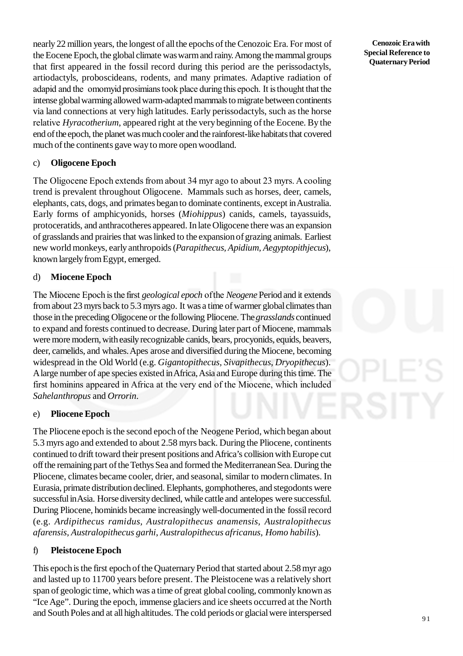nearly 22 million years, the longest of all the epochs of the Cenozoic Era. For most of the Eocene Epoch, the global climate was warm and rainy. Among the mammal groups that first appeared in the fossil record during this period are the perissodactyls, artiodactyls, proboscideans, rodents, and many primates. Adaptive radiation of adapid and the omomyid prosimians took place during this epoch. It is thought that the intense global warming allowed warm-adapted mammals to migrate between continents via land connections at very high latitudes. Early perissodactyls, such as the horse relative *Hyracotherium*, appeared right at the very beginning of the Eocene. By the end of the epoch, the planet was much cooler and the rainforest-like habitats that covered much of the continents gave way to more open woodland.

## c) **Oligocene Epoch**

The Oligocene Epoch extends from about 34 myr ago to about 23 myrs. A cooling trend is prevalent throughout Oligocene. Mammals such as horses, deer, camels, elephants, cats, dogs, and primates began to dominate continents, except in Australia. Early forms of amphicyonids, horses (*Miohippus*) canids, camels, tayassuids, protoceratids, and anthracotheres appeared. In late Oligocene there was an expansion of grasslands and prairies that was linked to the expansion of grazing animals. Earliest new world monkeys, early anthropoids (*Parapithecus, Apidium, Aegyptopithjecus*), known largely from Egypt, emerged.

## d) **Miocene Epoch**

The Miocene Epoch is the first *geological epoch* of the *Neogene* Period and it extends from about 23 myrs back to 5.3 myrs ago. It was a time of warmer global climates than those in the preceding Oligocene or the following Pliocene. The *grasslands* continued to expand and forests continued to decrease. During later part of Miocene, mammals were more modern, with easily recognizable canids, bears, procyonids, equids, beavers, deer, camelids, and whales. Apes arose and diversified during the Miocene, becoming widespread in the Old World (e.g. *Gigantopithecus, Sivapithecus*, *Dryopithecus*). A large number of ape species existed in Africa, Asia and Europe during this time. The first hominins appeared in Africa at the very end of the Miocene, which included *Sahelanthropus* and *Orrorin*.

## e) **Pliocene Epoch**

The Pliocene epoch is the second epoch of the Neogene Period, which began about 5.3 myrs ago and extended to about 2.58 myrs back. During the Pliocene, continents continued to drift toward their present positions and Africa's collision with Europe cut off the remaining part of the Tethys Sea and formed the Mediterranean Sea. During the Pliocene, climates became cooler, drier, and seasonal, similar to modern climates. In Eurasia, primate distribution declined. Elephants, gomphotheres, and stegodonts were successful in Asia. Horse diversity declined, while cattle and antelopes were successful. During Pliocene, hominids became increasingly well-documented in the fossil record (e.g. *Ardipithecus ramidus, Australopithecus anamensis, Australopithecus afarensis, Australopithecus garhi*, *Australopithecus africanus, Homo habilis*).

## f) **Pleistocene Epoch**

This epoch is the first epoch of the Quaternary Period that started about 2.58 myr ago and lasted up to 11700 years before present. The Pleistocene was a relatively short span of geologic time, which was a time of great global cooling, commonly known as "Ice Age". During the epoch, immense glaciers and ice sheets occurred at the North and South Poles and at all high altitudes. The cold periods or glacial were interspersed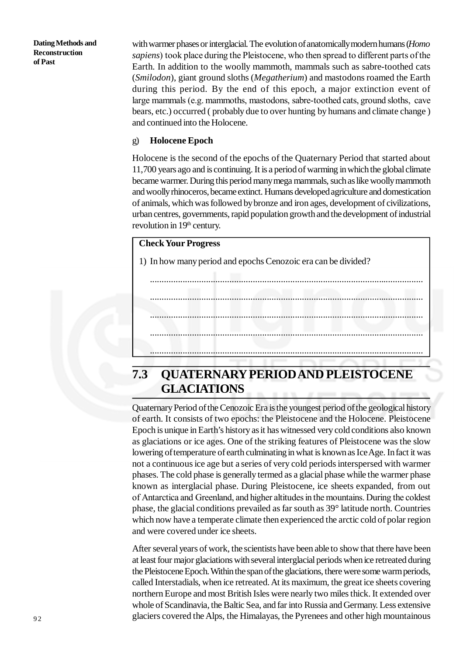**Dating Methods and Reconstruction of Past**

with warmer phases or interglacial. The evolution of anatomically modern humans (*Homo sapiens*) took place during the Pleistocene, who then spread to different parts of the Earth. In addition to the woolly mammoth, mammals such as sabre-toothed cats (*Smilodon*), giant ground sloths (*Megatherium*) and mastodons roamed the Earth during this period. By the end of this epoch, a major extinction event of large mammals (e.g. mammoths, mastodons, sabre-toothed cats, ground sloths, cave bears, etc.) occurred ( probably due to over hunting by humans and climate change ) and continued into the Holocene.

## g) **Holocene Epoch**

Holocene is the second of the epochs of the Quaternary Period that started about 11,700 years ago and is continuing. It is a period of warming in which the global climate became warmer. During this period many mega mammals, such as like woolly mammoth and woolly rhinoceros, became extinct. Humans developed agriculture and domestication of animals, which was followed by bronze and iron ages, development of civilizations, urban centres, governments, rapid population growth and the development of industrial revolution in 19<sup>th</sup> century.

.....................................................................................................................

.....................................................................................................................

.....................................................................................................................

.....................................................................................................................

## **Check Your Progress**

1) In how many period and epochs Cenozoic era can be divided?

.....................................................................................................................

# **7.3 QUATERNARY PERIOD AND PLEISTOCENE GLACIATIONS**

Quaternary Period of the Cenozoic Era is the youngest period of the geological history of earth. It consists of two epochs: the Pleistocene and the Holocene. Pleistocene Epoch is unique in Earth's history as it has witnessed very cold conditions also known as glaciations or ice ages. One of the striking features of Pleistocene was the slow lowering of temperature of earth culminating in what is known as Ice Age. In fact it was not a continuous ice age but a series of very cold periods interspersed with warmer phases. The cold phase is generally termed as a glacial phase while the warmer phase known as interglacial phase. During Pleistocene, ice sheets expanded, from out of Antarctica and Greenland, and higher altitudes in the mountains. During the coldest phase, the glacial conditions prevailed as far south as 39° latitude north. Countries which now have a temperate climate then experienced the arctic cold of polar region and were covered under ice sheets.

After several years of work, the scientists have been able to show that there have been at least four major glaciations with several interglacial periods when ice retreated during the Pleistocene Epoch. Within the span of the glaciations, there were some warm periods, called Interstadials, when ice retreated. At its maximum, the great ice sheets covering northern Europe and most British Isles were nearly two miles thick. It extended over whole of Scandinavia, the Baltic Sea, and far into Russia and Germany. Less extensive glaciers covered the Alps, the Himalayas, the Pyrenees and other high mountainous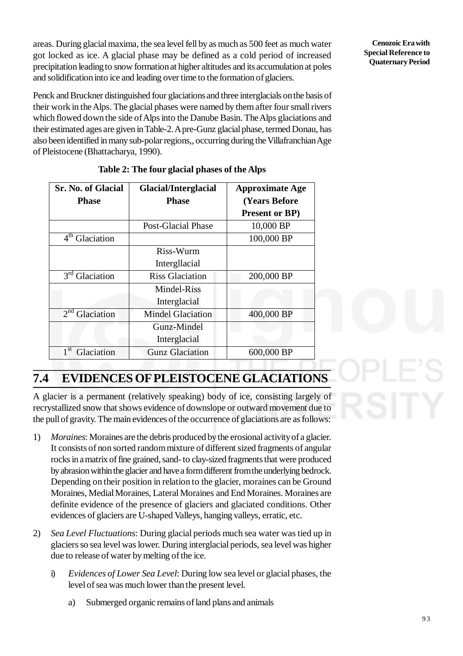areas. During glacial maxima, the sea level fell by as much as 500 feet as much water got locked as ice. A glacial phase may be defined as a cold period of increased precipitation leading to snow formation at higher altitudes and its accumulation at poles and solidification into ice and leading over time to the formation of glaciers.

Penck and Bruckner distinguished four glaciations and three interglacials on the basis of their work in the Alps. The glacial phases were named by them after four small rivers which flowed down the side of Alps into the Danube Basin. The Alps glaciations and their estimated ages are given in Table-2. A pre-Gunz glacial phase, termed Donau, has also been identified in many sub-polar regions,, occurring during the Villafranchian Age of Pleistocene (Bhattacharya, 1990).

| <b>Sr. No. of Glacial</b>     | <b>Glacial/Interglacial</b> | <b>Approximate Age</b> |  |
|-------------------------------|-----------------------------|------------------------|--|
| <b>Phase</b>                  | <b>Phase</b>                | <b>(Years Before</b> ) |  |
|                               |                             | <b>Present or BP)</b>  |  |
|                               | <b>Post-Glacial Phase</b>   | 10,000 BP              |  |
| $4th$ Glaciation              |                             | 100,000 BP             |  |
|                               | Riss-Wurm                   |                        |  |
|                               | Intergllacial               |                        |  |
| $3^{rd}$<br>Glaciation        | <b>Riss Glaciation</b>      | 200,000 BP             |  |
|                               | Mindel-Riss                 |                        |  |
|                               | Interglacial                |                        |  |
| 2 <sup>nd</sup><br>Glaciation | <b>Mindel Glaciation</b>    | 400,000 BP             |  |
|                               | Gunz-Mindel                 |                        |  |
|                               | Interglacial                |                        |  |
| 1 <sup>st</sup><br>Glaciation | <b>Gunz Glaciation</b>      | 600,000 BP             |  |

|  |  |  |  | Table 2: The four glacial phases of the Alps |
|--|--|--|--|----------------------------------------------|
|--|--|--|--|----------------------------------------------|

## **7.4 EVIDENCES OF PLEISTOCENE GLACIATIONS**

A glacier is a permanent (relatively speaking) body of ice, consisting largely of recrystallized snow that shows evidence of downslope or outward movement due to the pull of gravity. The main evidences of the occurrence of glaciations are as follows:

- 1) *Moraines*: Moraines are the debris produced by the erosional activity of a glacier. It consists of non sorted random mixture of different sized fragments of angular rocks in a matrix of fine grained, sand- to clay-sized fragments that were produced by abrasion within the glacier and have a form different from the underlying bedrock. Depending on their position in relation to the glacier, moraines can be Ground Moraines, Medial Moraines, Lateral Moraines and End Moraines. Moraines are definite evidence of the presence of glaciers and glaciated conditions. Other evidences of glaciers are U-shaped Valleys, hanging valleys, erratic, etc.
- 2) *Sea Level Fluctuations*: During glacial periods much sea water was tied up in glaciers so sea level was lower. During interglacial periods, sea level was higher due to release of water by melting of the ice.
	- i) *Evidences of Lower Sea Level*: During low sea level or glacial phases, the level of sea was much lower than the present level.
		- a) Submerged organic remains of land plans and animals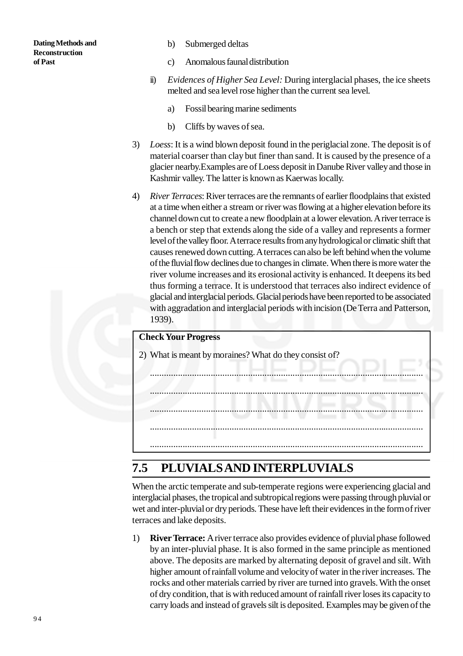- b) Submerged deltas
- c) Anomalous faunal distribution
- ii) *Evidences of Higher Sea Level:* During interglacial phases, the ice sheets melted and sea level rose higher than the current sea level.
	- a) Fossil bearing marine sediments
	- b) Cliffs by waves of sea.
- 3) *Loess*: It is a wind blown deposit found in the periglacial zone. The deposit is of material coarser than clay but finer than sand. It is caused by the presence of a glacier nearby.Examples are of Loess deposit in Danube River valley and those in Kashmir valley. The latter is known as Kaerwas locally.
- 4) *River Terraces*: River terraces are the remnants of earlier floodplains that existed at a time when either a stream or river was flowing at a higher elevation before its channel down cut to create a new floodplain at a lower elevation. A river terrace is a bench or step that extends along the side of a valley and represents a former level of the valley floor. A terrace results from any hydrological or climatic shift that causes renewed down cutting. A terraces can also be left behind when the volume of the fluvial flow declines due to changes in climate. When there is more water the river volume increases and its erosional activity is enhanced. It deepens its bed thus forming a terrace. It is understood that terraces also indirect evidence of glacial and interglacial periods. Glacial periods have been reported to be associated with aggradation and interglacial periods with incision (De Terra and Patterson, 1939).



# **7.5 PLUVIALS AND INTERPLUVIALS**

When the arctic temperate and sub-temperate regions were experiencing glacial and interglacial phases, the tropical and subtropical regions were passing through pluvial or wet and inter-pluvial or dry periods. These have left their evidences in the form of river terraces and lake deposits.

1) **River Terrace:** A river terrace also provides evidence of pluvial phase followed by an inter-pluvial phase. It is also formed in the same principle as mentioned above. The deposits are marked by alternating deposit of gravel and silt. With higher amount of rainfall volume and velocity of water in the river increases. The rocks and other materials carried by river are turned into gravels. With the onset of dry condition, that is with reduced amount of rainfall river loses its capacity to carry loads and instead of gravels silt is deposited. Examples may be given of the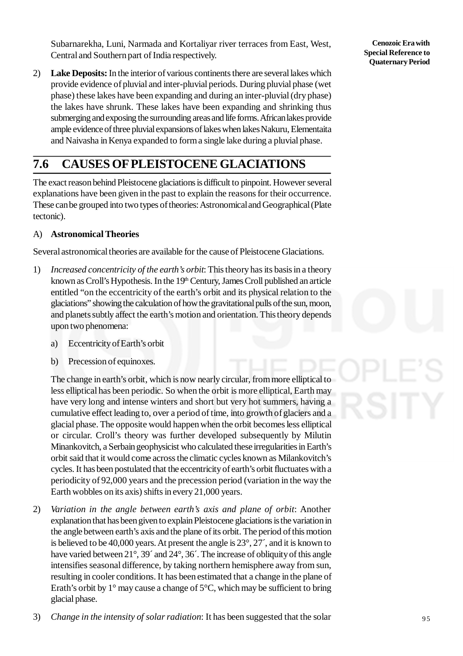Subarnarekha, Luni, Narmada and Kortaliyar river terraces from East, West, Central and Southern part of India respectively.

2) **Lake Deposits:** In the interior of various continents there are several lakes which provide evidence of pluvial and inter-pluvial periods. During pluvial phase (wet phase) these lakes have been expanding and during an inter-pluvial (dry phase) the lakes have shrunk. These lakes have been expanding and shrinking thus submerging and exposing the surrounding areas and life forms. African lakes provide ample evidence of three pluvial expansions of lakes when lakes Nakuru, Elementaita and Naivasha in Kenya expanded to form a single lake during a pluvial phase.

# **7.6 CAUSES OF PLEISTOCENE GLACIATIONS**

The exact reason behind Pleistocene glaciations is difficult to pinpoint. However several explanations have been given in the past to explain the reasons for their occurrence. These can be grouped into two types of theories: Astronomical and Geographical (Plate tectonic).

## A) **Astronomical Theories**

Several astronomical theories are available for the cause of Pleistocene Glaciations.

- 1) *Increased concentricity of the earth's orbit*: This theory has its basis in a theory known as Croll's Hypothesis. In the 19<sup>th</sup> Century, James Croll published an article entitled "on the eccentricity of the earth's orbit and its physical relation to the glaciations" showing the calculation of how the gravitational pulls of the sun, moon, and planets subtly affect the earth's motion and orientation. This theory depends upon two phenomena:
	- a) Eccentricity of Earth's orbit
	- b) Precession of equinoxes.

The change in earth's orbit, which is now nearly circular, from more elliptical to less elliptical has been periodic. So when the orbit is more elliptical, Earth may have very long and intense winters and short but very hot summers, having a cumulative effect leading to, over a period of time, into growth of glaciers and a glacial phase. The opposite would happen when the orbit becomes less elliptical or circular. Croll's theory was further developed subsequently by Milutin Minankovitch, a Serbain geophysicist who calculated these irregularities in Earth's orbit said that it would come across the climatic cycles known as Milankovitch's cycles. It has been postulated that the eccentricity of earth's orbit fluctuates with a periodicity of 92,000 years and the precession period (variation in the way the Earth wobbles on its axis) shifts in every 21,000 years.

2) *Variation in the angle between earth's axis and plane of orbit*: Another explanation that has been given to explain Pleistocene glaciations is the variation in the angle between earth's axis and the plane of its orbit. The period of this motion is believed to be 40,000 years. At present the angle is 23°, 27´, and it is known to have varied between 21°, 39´ and 24°, 36´. The increase of obliquity of this angle intensifies seasonal difference, by taking northern hemisphere away from sun, resulting in cooler conditions. It has been estimated that a change in the plane of Erath's orbit by  $1^{\circ}$  may cause a change of  $5^{\circ}$ C, which may be sufficient to bring glacial phase.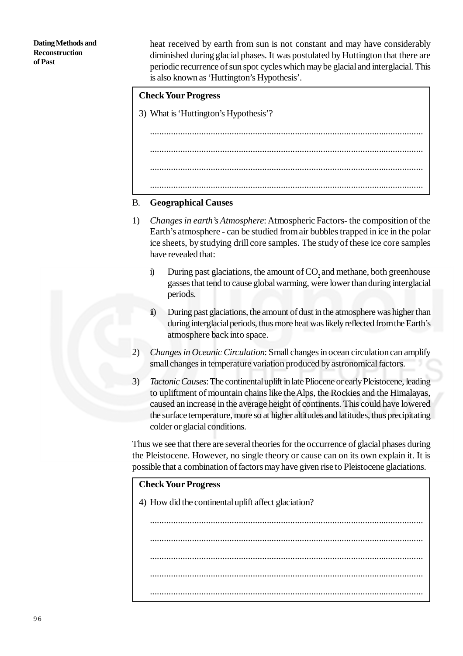**Dating Methods and Reconstruction of Past**

heat received by earth from sun is not constant and may have considerably diminished during glacial phases. It was postulated by Huttington that there are periodic recurrence of sun spot cycles which may be glacial and interglacial. This is also known as 'Huttington's Hypothesis'.

## **Check Your Progress**

3) What is 'Huttington's Hypothesis'?

..................................................................................................................... ..................................................................................................................... ..................................................................................................................... .....................................................................................................................

## B. **Geographical Causes**

- 1) *Changes in earth's Atmosphere*: Atmospheric Factors- the composition of the Earth's atmosphere - can be studied from air bubbles trapped in ice in the polar ice sheets, by studying drill core samples. The study of these ice core samples have revealed that:
	- i) During past glaciations, the amount of  $CO<sub>z</sub>$  and methane, both greenhouse gasses that tend to cause global warming, were lower than during interglacial periods.
	- ii) During past glaciations, the amount of dust in the atmosphere was higher than during interglacial periods, thus more heat was likely reflected from the Earth's atmosphere back into space.
- 2) *Changes in Oceanic Circulation*: Small changes in ocean circulation can amplify small changes in temperature variation produced by astronomical factors.
- 3) *Tactonic Causes*: The continental uplift in late Pliocene or early Pleistocene, leading to upliftment of mountain chains like the Alps, the Rockies and the Himalayas, caused an increase in the average height of continents. This could have lowered the surface temperature, more so at higher altitudes and latitudes, thus precipitating colder or glacial conditions.

Thus we see that there are several theories for the occurrence of glacial phases during the Pleistocene. However, no single theory or cause can on its own explain it. It is possible that a combination of factors may have given rise to Pleistocene glaciations.

### **Check Your Progress**

4) How did the continental uplift affect glaciation?

..................................................................................................................... ..................................................................................................................... ..................................................................................................................... ..................................................................................................................... .....................................................................................................................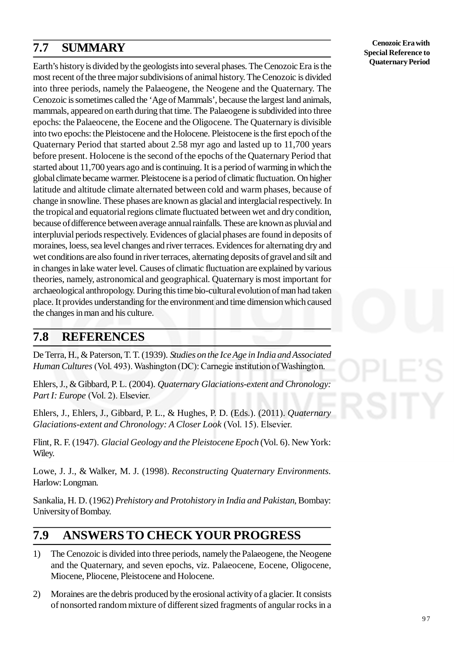# **7.7 SUMMARY**

Earth's history is divided by the geologists into several phases. The Cenozoic Era is the most recent of the three major subdivisions of animal history. The Cenozoic is divided into three periods, namely the Palaeogene, the Neogene and the Quaternary. The Cenozoic is sometimes called the 'Age of Mammals', because the largest land animals, mammals, appeared on earth during that time. The Palaeogene is subdivided into three epochs: the Palaeocene, the Eocene and the Oligocene. The Quaternary is divisible into two epochs: the Pleistocene and the Holocene. Pleistocene is the first epoch of the Quaternary Period that started about 2.58 myr ago and lasted up to 11,700 years before present. Holocene is the second of the epochs of the Quaternary Period that started about 11,700 years ago and is continuing. It is a period of warming in which the global climate became warmer. Pleistocene is a period of climatic fluctuation. On higher latitude and altitude climate alternated between cold and warm phases, because of change in snowline. These phases are known as glacial and interglacial respectively. In the tropical and equatorial regions climate fluctuated between wet and dry condition, because of difference between average annual rainfalls. These are known as pluvial and interpluvial periods respectively. Evidences of glacial phases are found in deposits of moraines, loess, sea level changes and river terraces. Evidences for alternating dry and wet conditions are also found in river terraces, alternating deposits of gravel and silt and in changes in lake water level. Causes of climatic fluctuation are explained by various theories, namely, astronomical and geographical. Quaternary is most important for archaeological anthropology. During this time bio-cultural evolution of man had taken place. It provides understanding for the environment and time dimension which caused the changes in man and his culture.

## **7.8 REFERENCES**

De Terra, H., & Paterson, T. T. (1939). *Studies on the Ice Age in India and Associated Human Cultures* (Vol. 493). Washington (DC): Carnegie institution of Washington.

Ehlers, J., & Gibbard, P. L. (2004). *Quaternary Glaciations-extent and Chronology: Part I: Europe* (Vol. 2). Elsevier.

Ehlers, J., Ehlers, J., Gibbard, P. L., & Hughes, P. D. (Eds.). (2011). *Quaternary Glaciations-extent and Chronology: A Closer Look* (Vol. 15). Elsevier.

Flint, R. F. (1947). *Glacial Geology and the Pleistocene Epoch* (Vol. 6). New York: Wiley.

Lowe, J. J., & Walker, M. J. (1998). *Reconstructing Quaternary Environments*. Harlow: Longman.

Sankalia, H. D. (1962) *Prehistory and Protohistory in India and Pakistan*, Bombay: University of Bombay.

## **7.9 ANSWERS TO CHECK YOUR PROGRESS**

- 1) The Cenozoic is divided into three periods, namely the Palaeogene, the Neogene and the Quaternary, and seven epochs, viz. Palaeocene, Eocene, Oligocene, Miocene, Pliocene, Pleistocene and Holocene.
- 2) Moraines are the debris produced by the erosional activity of a glacier. It consists of nonsorted random mixture of different sized fragments of angular rocks in a